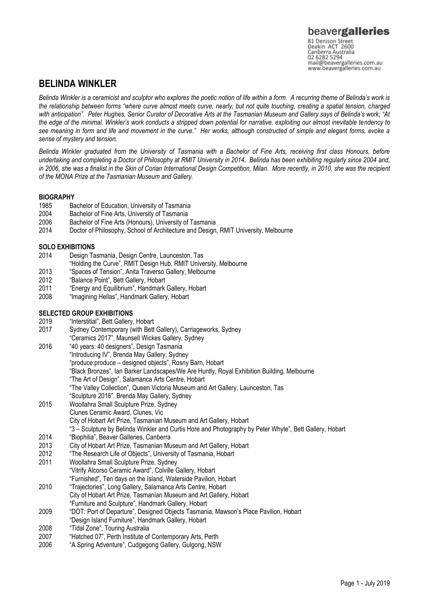## **BELINDA WINKLER**

*Belinda Winkler is a ceramicist and sculptor who explores the poetic notion of life within a form. A recurring theme of Belinda's work is the relationship between forms "where curve almost meets curve, nearly, but not quite touching, creating a spatial tension, charged with anticipation". Peter Hughes, Senior Curator of Decorative Arts at the Tasmanian Museum and Gallery says of Belinda's work; "At the edge of the minimal, Winkler's work conducts a stripped down potential for narrative, exploiting our almost inevitable tendency to see meaning in form and life and movement in the curve." Her works, although constructed of simple and elegant forms, evoke a sense of mystery and tension.*

*Belinda Winkler graduated from the University of Tasmania with a Bachelor of Fine Arts, receiving first class Honours, before undertaking and completing a Doctor of Philosophy at RMIT University in 2014. Belinda has been exhibiting regularly since 2004 and, in 2006, she was a finalist in the Skin of Corian International Design Competition, Milan. More recently, in 2010, she was the recipient of the MONA Prize at the Tasmanian Museum and Gallery.* 

### **BIOGRAPHY**

- 1985 Bachelor of Education, University of Tasmania<br>
2004 Bachelor of Fine Arts. University of Tasmania
- Bachelor of Fine Arts, University of Tasmania
- 2006 Bachelor of Fine Arts (Honours), University of Tasmania
- 2014 Doctor of Philosophy, School of Architecture and Design, RMIT University, Melbourne

#### **SOLO EXHIBITIONS**

- 2014 Design Tasmania, Design Centre, Launceston, Tas
- "Holding the Curve", RMIT Design Hub, RMIT University, Melbourne
- 2013 "Spaces of Tension", Anita Traverso Gallery, Melbourne<br>2012 "Balance Point" Bett Gallery, Hobart
- 2012 "Balance Point", Bett Gallery, Hobart<br>2011 "Fnergy and Fquilibrium", Handmark
- "Energy and Equilibrium", Handmark Gallery, Hobart
- 2008 "Imagining Hellas", Handmark Gallery, Hobart

### **SELECTED GROUP EXHIBITIONS**

- 2019 "Interstitial", Bett Gallery, Hobart
- 2017 Sydney Contemporary (with Bett Gallery), Carriageworks, Sydney
- "Ceramics 2017", Maunsell Wickes Gallery, Sydney
- 2016 "40 years: 40 designers", Design Tasmania "Introducing IV", Brenda May Gallery, Sydney "produce:produce – designed objects", Rosny Barn, Hobart "Black Bronzes", Ian Barker Landscapes/We Are Huntly, Royal Exhibition Building, Melbourne "The Art of Design", Salamanca Arts Centre, Hobart "The Valley Collection", Queen Victoria Museum and Art Gallery, Launceston, Tas "Sculpture 2016". Brenda May Gallery, Sydney 2015 Woollahra Small Sculpture Prize, Sydney Clunes Ceramic Award, Clunes, Vic City of Hobart Art Prize, Tasmanian Museum and Art Gallery, Hobart "3 – Sculpture by Belinda Winkler and Curtis Hore and Photography by Peter Whyte", Bett Gallery, Hobart 2014 "Biophilia", Beaver Galleries, Canberra 2013 City of Hobart Art Prize, Tasmanian Museum and Art Gallery, Hobart 2012 "The Research Life of Objects", University of Tasmania, Hobart 2011 Woollahra Small Sculpture Prize, Sydney
- Woollahra Small Sculpture Prize, Sydney "Vitrify Alcorso Ceramic Award", Colville Gallery, Hobart "Furnished", Ten days on the Island, Waterside Pavilion, Hobart
- 2010 "Trajectories", Long Gallery, Salamanca Arts Centre, Hobart City of Hobart Art Prize, Tasmanian Museum and Art Gallery, Hobart "Furniture and Sculpture", Handmark Gallery, Hobart
- 2009 "DOT: Port of Departure", Designed Objects Tasmania, Mawson's Place Pavilion, Hobart "Design Island Furniture", Handmark Gallery, Hobart
- 2008 "Tidal Zone", Touring Australia
- 2007 "Hatched 07", Perth Institute of Contemporary Arts, Perth
- 2006 "A Spring Adventure", Cudgegong Gallery, Gulgong, NSW